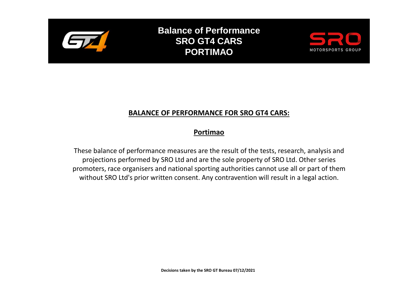

**Balance of Performance SRO GT4 CARS PORTIMAO**



## **BALANCE OF PERFORMANCE FOR SRO GT4 CARS:**

## **Portimao**

These balance of performance measures are the result of the tests, research, analysis and projections performed by SRO Ltd and are the sole property of SRO Ltd. Other series promoters, race organisers and national sporting authorities cannot use all or part of them without SRO Ltd's prior written consent. Any contravention will result in a legal action.